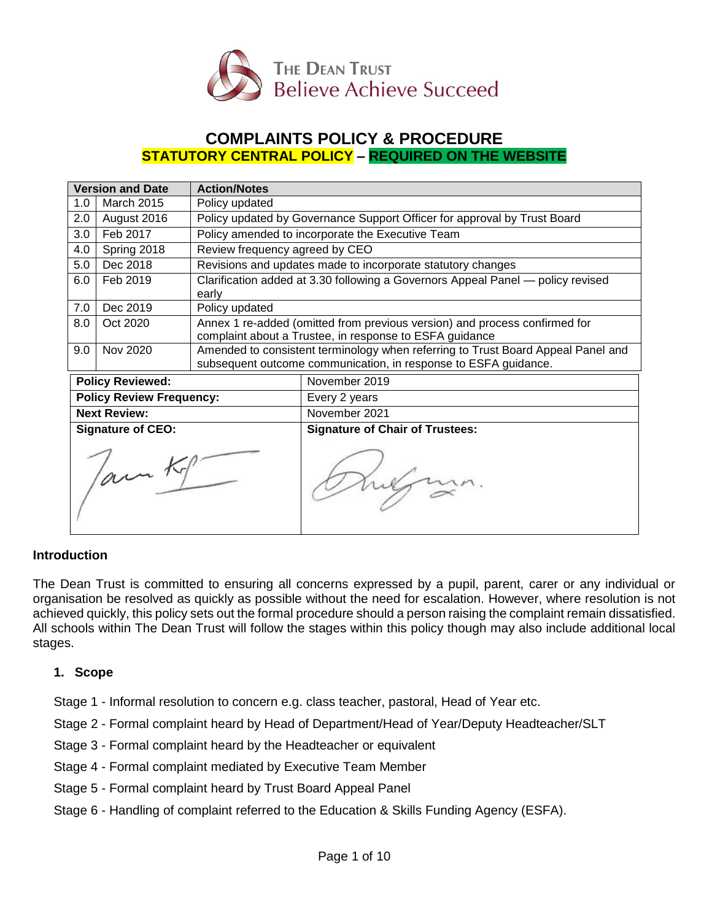

# **COMPLAINTS POLICY & PROCEDURE STATUTORY CENTRAL POLICY – REQUIRED ON THE WEBSITE**

| <b>Version and Date</b>         |                   | <b>Action/Notes</b>                                                                                                                                 |                                        |  |
|---------------------------------|-------------------|-----------------------------------------------------------------------------------------------------------------------------------------------------|----------------------------------------|--|
| 1.0                             | <b>March 2015</b> | Policy updated                                                                                                                                      |                                        |  |
| 2.0                             | August 2016       | Policy updated by Governance Support Officer for approval by Trust Board                                                                            |                                        |  |
| 3.0                             | Feb 2017          | Policy amended to incorporate the Executive Team                                                                                                    |                                        |  |
| 4.0                             | Spring 2018       | Review frequency agreed by CEO                                                                                                                      |                                        |  |
| 5.0                             | Dec 2018          | Revisions and updates made to incorporate statutory changes                                                                                         |                                        |  |
| 6.0                             | Feb 2019          | Clarification added at 3.30 following a Governors Appeal Panel — policy revised<br>early                                                            |                                        |  |
| 7.0                             | Dec 2019          | Policy updated                                                                                                                                      |                                        |  |
| 8.0                             | Oct 2020          | Annex 1 re-added (omitted from previous version) and process confirmed for<br>complaint about a Trustee, in response to ESFA guidance               |                                        |  |
| 9.0                             | Nov 2020          | Amended to consistent terminology when referring to Trust Board Appeal Panel and<br>subsequent outcome communication, in response to ESFA guidance. |                                        |  |
| <b>Policy Reviewed:</b>         |                   |                                                                                                                                                     | November 2019                          |  |
| <b>Policy Review Frequency:</b> |                   |                                                                                                                                                     | Every 2 years                          |  |
| <b>Next Review:</b>             |                   |                                                                                                                                                     | November 2021                          |  |
| <b>Signature of CEO:</b>        |                   |                                                                                                                                                     | <b>Signature of Chair of Trustees:</b> |  |
| lam Kg                          |                   |                                                                                                                                                     |                                        |  |

### **Introduction**

The Dean Trust is committed to ensuring all concerns expressed by a pupil, parent, carer or any individual or organisation be resolved as quickly as possible without the need for escalation. However, where resolution is not achieved quickly, this policy sets out the formal procedure should a person raising the complaint remain dissatisfied. All schools within The Dean Trust will follow the stages within this policy though may also include additional local stages.

#### **1. Scope**

Stage 1 - Informal resolution to concern e.g. class teacher, pastoral, Head of Year etc.

Stage 2 - Formal complaint heard by Head of Department/Head of Year/Deputy Headteacher/SLT

- Stage 3 Formal complaint heard by the Headteacher or equivalent
- Stage 4 Formal complaint mediated by Executive Team Member
- Stage 5 Formal complaint heard by Trust Board Appeal Panel
- Stage 6 Handling of complaint referred to the Education & Skills Funding Agency (ESFA).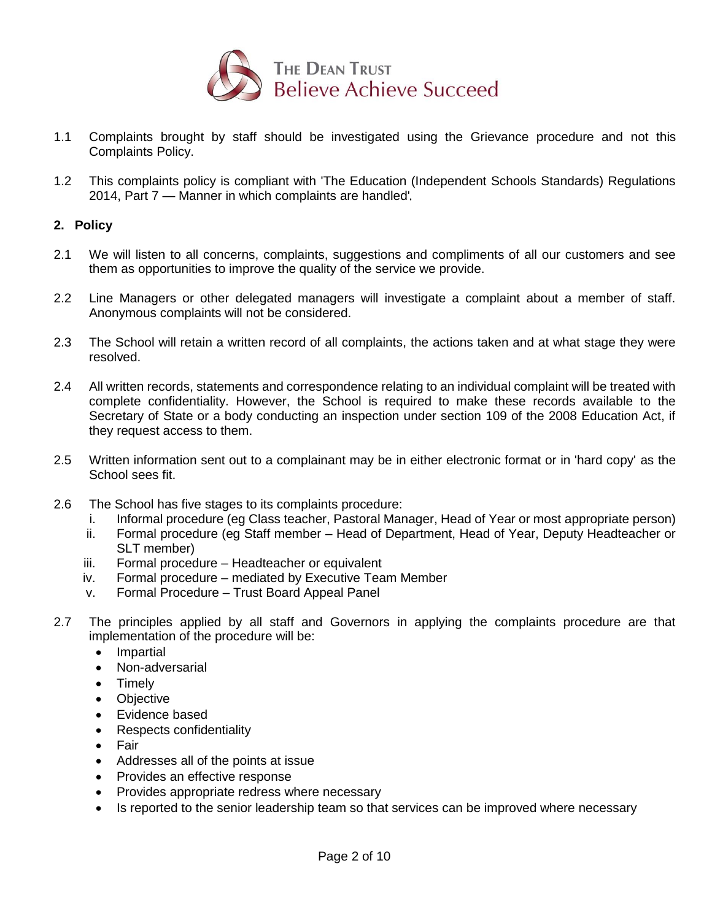

- 1.1 Complaints brought by staff should be investigated using the Grievance procedure and not this Complaints Policy.
- 1.2 This complaints policy is compliant with 'The Education (Independent Schools Standards) Regulations 2014, Part 7 — Manner in which complaints are handled'

### **2. Policy**

- 2.1 We will listen to all concerns, complaints, suggestions and compliments of all our customers and see them as opportunities to improve the quality of the service we provide.
- 2.2 Line Managers or other delegated managers will investigate a complaint about a member of staff. Anonymous complaints will not be considered.
- 2.3 The School will retain a written record of all complaints, the actions taken and at what stage they were resolved.
- 2.4 All written records, statements and correspondence relating to an individual complaint will be treated with complete confidentiality. However, the School is required to make these records available to the Secretary of State or a body conducting an inspection under section 109 of the 2008 Education Act, if they request access to them.
- 2.5 Written information sent out to a complainant may be in either electronic format or in 'hard copy' as the School sees fit.
- 2.6 The School has five stages to its complaints procedure:
	- i. Informal procedure (eg Class teacher, Pastoral Manager, Head of Year or most appropriate person)
	- ii. Formal procedure (eg Staff member Head of Department, Head of Year, Deputy Headteacher or SLT member)
	- iii. Formal procedure Headteacher or equivalent
	- iv. Formal procedure mediated by Executive Team Member
	- v. Formal Procedure Trust Board Appeal Panel
- 2.7 The principles applied by all staff and Governors in applying the complaints procedure are that implementation of the procedure will be:
	- Impartial
	- Non-adversarial
	- Timely
	- Objective
	- Evidence based
	- Respects confidentiality
	- Fair
	- Addresses all of the points at issue
	- Provides an effective response
	- Provides appropriate redress where necessary
	- Is reported to the senior leadership team so that services can be improved where necessary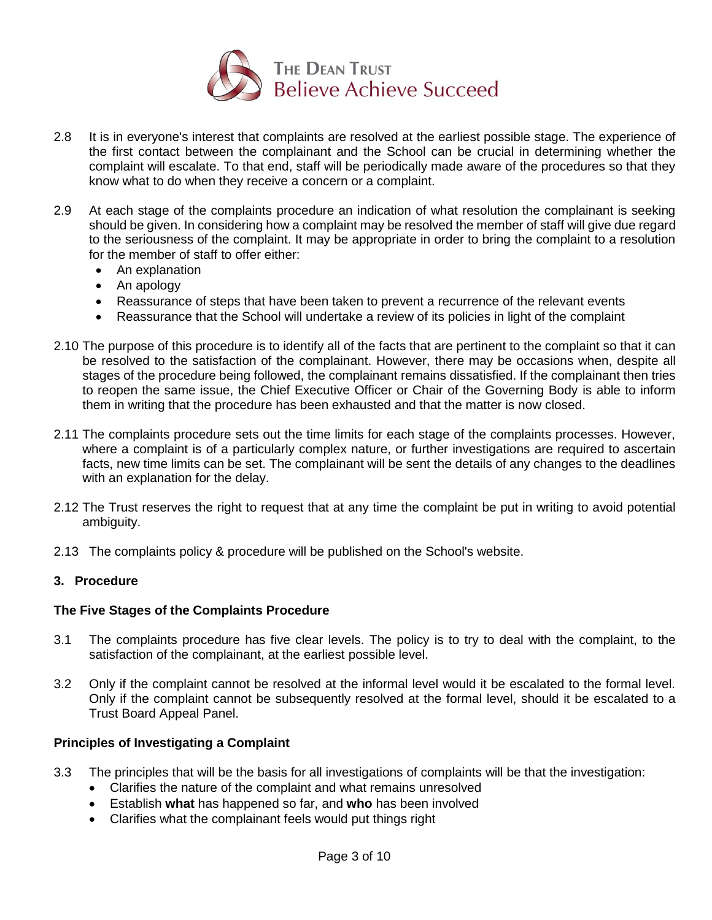

- 2.8 It is in everyone's interest that complaints are resolved at the earliest possible stage. The experience of the first contact between the complainant and the School can be crucial in determining whether the complaint will escalate. To that end, staff will be periodically made aware of the procedures so that they know what to do when they receive a concern or a complaint.
- 2.9 At each stage of the complaints procedure an indication of what resolution the complainant is seeking should be given. In considering how a complaint may be resolved the member of staff will give due regard to the seriousness of the complaint. It may be appropriate in order to bring the complaint to a resolution for the member of staff to offer either:
	- An explanation
	- An apology
	- Reassurance of steps that have been taken to prevent a recurrence of the relevant events
	- Reassurance that the School will undertake a review of its policies in light of the complaint
- 2.10 The purpose of this procedure is to identify all of the facts that are pertinent to the complaint so that it can be resolved to the satisfaction of the complainant. However, there may be occasions when, despite all stages of the procedure being followed, the complainant remains dissatisfied. If the complainant then tries to reopen the same issue, the Chief Executive Officer or Chair of the Governing Body is able to inform them in writing that the procedure has been exhausted and that the matter is now closed.
- 2.11 The complaints procedure sets out the time limits for each stage of the complaints processes. However, where a complaint is of a particularly complex nature, or further investigations are required to ascertain facts, new time limits can be set. The complainant will be sent the details of any changes to the deadlines with an explanation for the delay.
- 2.12 The Trust reserves the right to request that at any time the complaint be put in writing to avoid potential ambiguity.
- 2.13 The complaints policy & procedure will be published on the School's website.

### **3. Procedure**

### **The Five Stages of the Complaints Procedure**

- 3.1 The complaints procedure has five clear levels. The policy is to try to deal with the complaint, to the satisfaction of the complainant, at the earliest possible level.
- 3.2 Only if the complaint cannot be resolved at the informal level would it be escalated to the formal level. Only if the complaint cannot be subsequently resolved at the formal level, should it be escalated to a Trust Board Appeal Panel.

### **Principles of Investigating a Complaint**

- 3.3 The principles that will be the basis for all investigations of complaints will be that the investigation:
	- Clarifies the nature of the complaint and what remains unresolved
	- Establish **what** has happened so far, and **who** has been involved
	- Clarifies what the complainant feels would put things right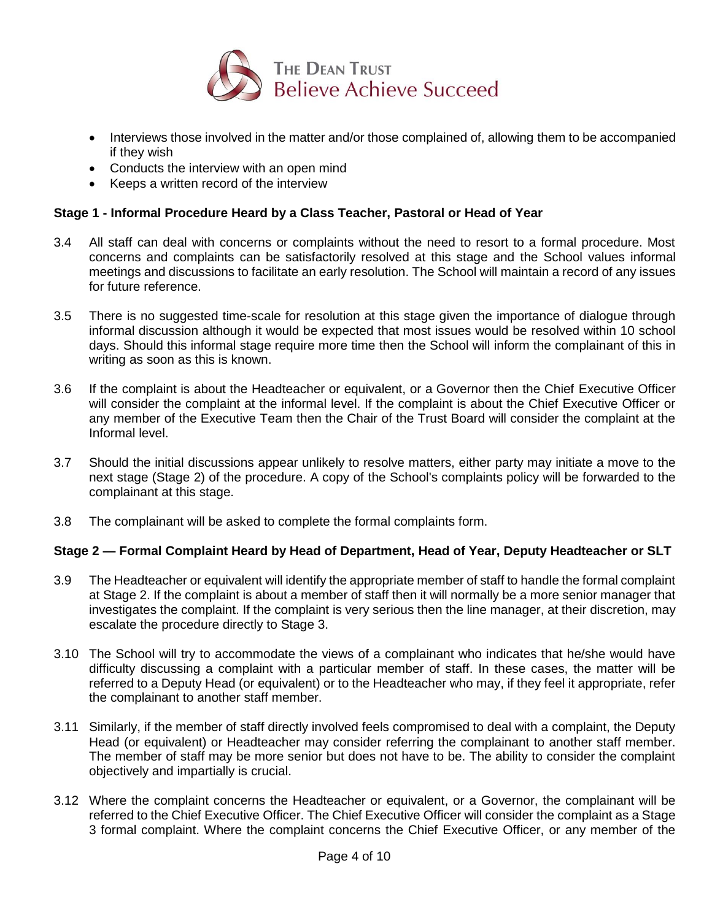

- Interviews those involved in the matter and/or those complained of, allowing them to be accompanied if they wish
- Conducts the interview with an open mind
- Keeps a written record of the interview

## **Stage 1 - Informal Procedure Heard by a Class Teacher, Pastoral or Head of Year**

- 3.4 All staff can deal with concerns or complaints without the need to resort to a formal procedure. Most concerns and complaints can be satisfactorily resolved at this stage and the School values informal meetings and discussions to facilitate an early resolution. The School will maintain a record of any issues for future reference.
- 3.5 There is no suggested time-scale for resolution at this stage given the importance of dialogue through informal discussion although it would be expected that most issues would be resolved within 10 school days. Should this informal stage require more time then the School will inform the complainant of this in writing as soon as this is known.
- 3.6 If the complaint is about the Headteacher or equivalent, or a Governor then the Chief Executive Officer will consider the complaint at the informal level. If the complaint is about the Chief Executive Officer or any member of the Executive Team then the Chair of the Trust Board will consider the complaint at the Informal level.
- 3.7 Should the initial discussions appear unlikely to resolve matters, either party may initiate a move to the next stage (Stage 2) of the procedure. A copy of the School's complaints policy will be forwarded to the complainant at this stage.
- 3.8 The complainant will be asked to complete the formal complaints form.

### **Stage 2 — Formal Complaint Heard by Head of Department, Head of Year, Deputy Headteacher or SLT**

- 3.9 The Headteacher or equivalent will identify the appropriate member of staff to handle the formal complaint at Stage 2. If the complaint is about a member of staff then it will normally be a more senior manager that investigates the complaint. If the complaint is very serious then the line manager, at their discretion, may escalate the procedure directly to Stage 3.
- 3.10 The School will try to accommodate the views of a complainant who indicates that he/she would have difficulty discussing a complaint with a particular member of staff. In these cases, the matter will be referred to a Deputy Head (or equivalent) or to the Headteacher who may, if they feel it appropriate, refer the complainant to another staff member.
- 3.11 Similarly, if the member of staff directly involved feels compromised to deal with a complaint, the Deputy Head (or equivalent) or Headteacher may consider referring the complainant to another staff member. The member of staff may be more senior but does not have to be. The ability to consider the complaint objectively and impartially is crucial.
- 3.12 Where the complaint concerns the Headteacher or equivalent, or a Governor, the complainant will be referred to the Chief Executive Officer. The Chief Executive Officer will consider the complaint as a Stage 3 formal complaint. Where the complaint concerns the Chief Executive Officer, or any member of the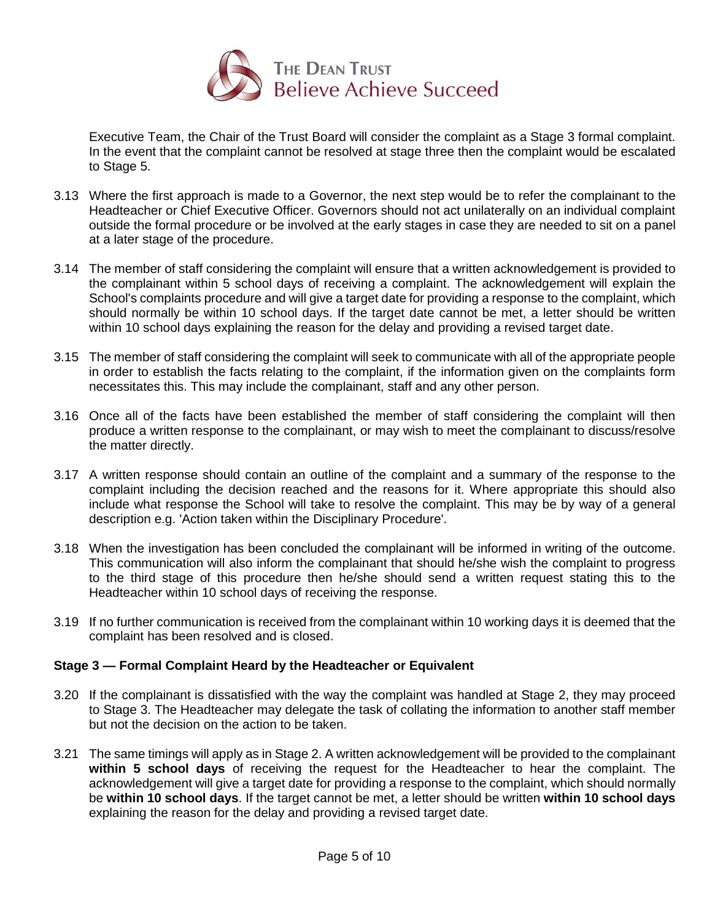

Executive Team, the Chair of the Trust Board will consider the complaint as a Stage 3 formal complaint. In the event that the complaint cannot be resolved at stage three then the complaint would be escalated to Stage 5.

- 3.13 Where the first approach is made to a Governor, the next step would be to refer the complainant to the Headteacher or Chief Executive Officer. Governors should not act unilaterally on an individual complaint outside the formal procedure or be involved at the early stages in case they are needed to sit on a panel at a later stage of the procedure.
- 3.14 The member of staff considering the complaint will ensure that a written acknowledgement is provided to the complainant within 5 school days of receiving a complaint. The acknowledgement will explain the School's complaints procedure and will give a target date for providing a response to the complaint, which should normally be within 10 school days. If the target date cannot be met, a letter should be written within 10 school days explaining the reason for the delay and providing a revised target date.
- 3.15 The member of staff considering the complaint will seek to communicate with all of the appropriate people in order to establish the facts relating to the complaint, if the information given on the complaints form necessitates this. This may include the complainant, staff and any other person.
- 3.16 Once all of the facts have been established the member of staff considering the complaint will then produce a written response to the complainant, or may wish to meet the complainant to discuss/resolve the matter directly.
- 3.17 A written response should contain an outline of the complaint and a summary of the response to the complaint including the decision reached and the reasons for it. Where appropriate this should also include what response the School will take to resolve the complaint. This may be by way of a general description e.g. 'Action taken within the Disciplinary Procedure'.
- 3.18 When the investigation has been concluded the complainant will be informed in writing of the outcome. This communication will also inform the complainant that should he/she wish the complaint to progress to the third stage of this procedure then he/she should send a written request stating this to the Headteacher within 10 school days of receiving the response.
- 3.19 If no further communication is received from the complainant within 10 working days it is deemed that the complaint has been resolved and is closed.

### **Stage 3 — Formal Complaint Heard by the Headteacher or Equivalent**

- 3.20 If the complainant is dissatisfied with the way the complaint was handled at Stage 2, they may proceed to Stage 3. The Headteacher may delegate the task of collating the information to another staff member but not the decision on the action to be taken.
- 3.21 The same timings will apply as in Stage 2. A written acknowledgement will be provided to the complainant **within 5 school days** of receiving the request for the Headteacher to hear the complaint. The acknowledgement will give a target date for providing a response to the complaint, which should normally be **within 10 school days**. If the target cannot be met, a letter should be written **within 10 school days** explaining the reason for the delay and providing a revised target date.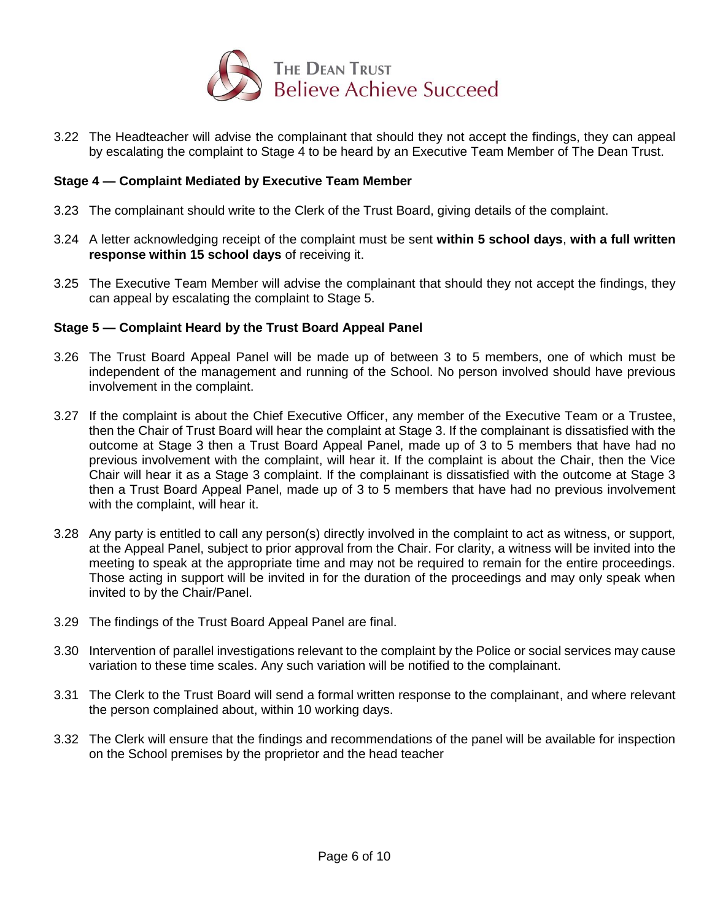

3.22 The Headteacher will advise the complainant that should they not accept the findings, they can appeal by escalating the complaint to Stage 4 to be heard by an Executive Team Member of The Dean Trust.

#### **Stage 4 — Complaint Mediated by Executive Team Member**

- 3.23 The complainant should write to the Clerk of the Trust Board, giving details of the complaint.
- 3.24 A letter acknowledging receipt of the complaint must be sent **within 5 school days**, **with a full written response within 15 school days** of receiving it.
- 3.25 The Executive Team Member will advise the complainant that should they not accept the findings, they can appeal by escalating the complaint to Stage 5.

#### **Stage 5 — Complaint Heard by the Trust Board Appeal Panel**

- 3.26 The Trust Board Appeal Panel will be made up of between 3 to 5 members, one of which must be independent of the management and running of the School. No person involved should have previous involvement in the complaint.
- 3.27 If the complaint is about the Chief Executive Officer, any member of the Executive Team or a Trustee, then the Chair of Trust Board will hear the complaint at Stage 3. If the complainant is dissatisfied with the outcome at Stage 3 then a Trust Board Appeal Panel, made up of 3 to 5 members that have had no previous involvement with the complaint, will hear it. If the complaint is about the Chair, then the Vice Chair will hear it as a Stage 3 complaint. If the complainant is dissatisfied with the outcome at Stage 3 then a Trust Board Appeal Panel, made up of 3 to 5 members that have had no previous involvement with the complaint, will hear it.
- 3.28 Any party is entitled to call any person(s) directly involved in the complaint to act as witness, or support, at the Appeal Panel, subject to prior approval from the Chair. For clarity, a witness will be invited into the meeting to speak at the appropriate time and may not be required to remain for the entire proceedings. Those acting in support will be invited in for the duration of the proceedings and may only speak when invited to by the Chair/Panel.
- 3.29 The findings of the Trust Board Appeal Panel are final.
- 3.30 Intervention of parallel investigations relevant to the complaint by the Police or social services may cause variation to these time scales. Any such variation will be notified to the complainant.
- 3.31 The Clerk to the Trust Board will send a formal written response to the complainant, and where relevant the person complained about, within 10 working days.
- 3.32 The Clerk will ensure that the findings and recommendations of the panel will be available for inspection on the School premises by the proprietor and the head teacher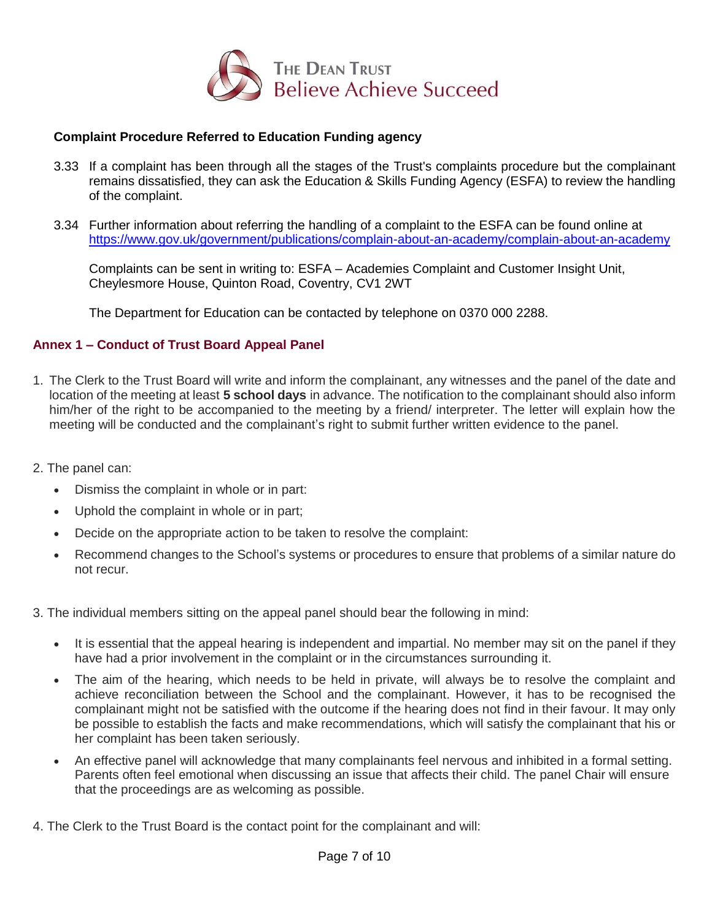

# **Complaint Procedure Referred to Education Funding agency**

- 3.33 If a complaint has been through all the stages of the Trust's complaints procedure but the complainant remains dissatisfied, they can ask the Education & Skills Funding Agency (ESFA) to review the handling of the complaint.
- 3.34 Further information about referring the handling of a complaint to the ESFA can be found online at <https://www.gov.uk/government/publications/complain-about-an-academy/complain-about-an-academy>

Complaints can be sent in writing to: ESFA – Academies Complaint and Customer Insight Unit, Cheylesmore House, Quinton Road, Coventry, CV1 2WT

The Department for Education can be contacted by telephone on 0370 000 2288.

### **Annex 1 – Conduct of Trust Board Appeal Panel**

- 1. The Clerk to the Trust Board will write and inform the complainant, any witnesses and the panel of the date and location of the meeting at least **5 school days** in advance. The notification to the complainant should also inform him/her of the right to be accompanied to the meeting by a friend/ interpreter. The letter will explain how the meeting will be conducted and the complainant's right to submit further written evidence to the panel.
- 2. The panel can:
	- Dismiss the complaint in whole or in part:
	- Uphold the complaint in whole or in part;
	- Decide on the appropriate action to be taken to resolve the complaint:
	- Recommend changes to the School's systems or procedures to ensure that problems of a similar nature do not recur.

3. The individual members sitting on the appeal panel should bear the following in mind:

- It is essential that the appeal hearing is independent and impartial. No member may sit on the panel if they have had a prior involvement in the complaint or in the circumstances surrounding it.
- The aim of the hearing, which needs to be held in private, will always be to resolve the complaint and achieve reconciliation between the School and the complainant. However, it has to be recognised the complainant might not be satisfied with the outcome if the hearing does not find in their favour. It may only be possible to establish the facts and make recommendations, which will satisfy the complainant that his or her complaint has been taken seriously.
- An effective panel will acknowledge that many complainants feel nervous and inhibited in a formal setting. Parents often feel emotional when discussing an issue that affects their child. The panel Chair will ensure that the proceedings are as welcoming as possible.
- 4. The Clerk to the Trust Board is the contact point for the complainant and will: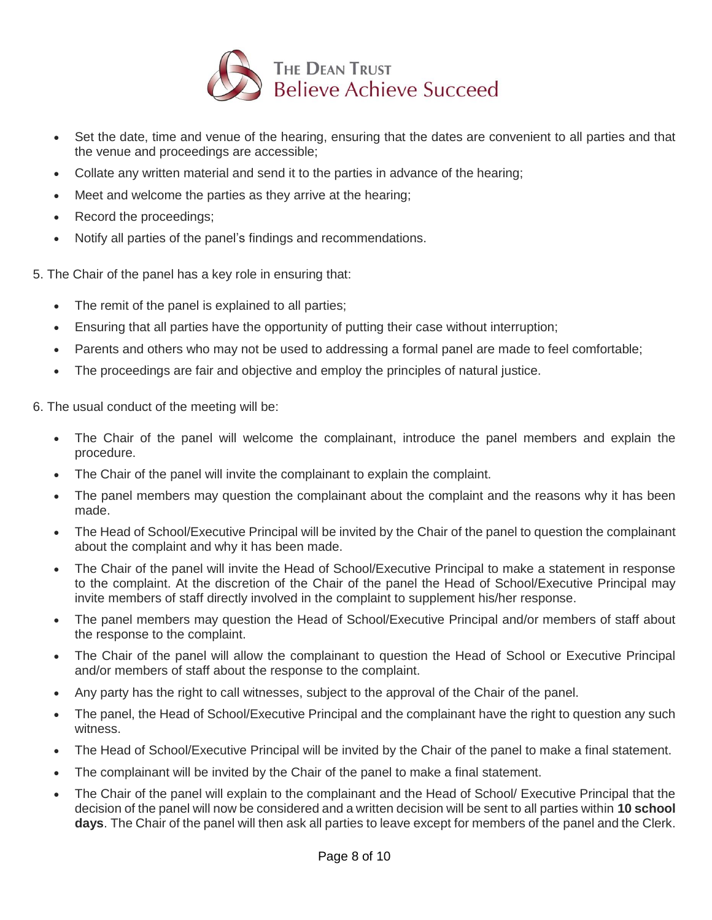

- Set the date, time and venue of the hearing, ensuring that the dates are convenient to all parties and that the venue and proceedings are accessible;
- Collate any written material and send it to the parties in advance of the hearing;
- Meet and welcome the parties as they arrive at the hearing;
- Record the proceedings;
- Notify all parties of the panel's findings and recommendations.

5. The Chair of the panel has a key role in ensuring that:

- The remit of the panel is explained to all parties;
- Ensuring that all parties have the opportunity of putting their case without interruption;
- Parents and others who may not be used to addressing a formal panel are made to feel comfortable;
- The proceedings are fair and objective and employ the principles of natural justice.

6. The usual conduct of the meeting will be:

- The Chair of the panel will welcome the complainant, introduce the panel members and explain the procedure.
- The Chair of the panel will invite the complainant to explain the complaint.
- The panel members may question the complainant about the complaint and the reasons why it has been made.
- The Head of School/Executive Principal will be invited by the Chair of the panel to question the complainant about the complaint and why it has been made.
- The Chair of the panel will invite the Head of School/Executive Principal to make a statement in response to the complaint. At the discretion of the Chair of the panel the Head of School/Executive Principal may invite members of staff directly involved in the complaint to supplement his/her response.
- The panel members may question the Head of School/Executive Principal and/or members of staff about the response to the complaint.
- The Chair of the panel will allow the complainant to question the Head of School or Executive Principal and/or members of staff about the response to the complaint.
- Any party has the right to call witnesses, subject to the approval of the Chair of the panel.
- The panel, the Head of School/Executive Principal and the complainant have the right to question any such witness.
- The Head of School/Executive Principal will be invited by the Chair of the panel to make a final statement.
- The complainant will be invited by the Chair of the panel to make a final statement.
- The Chair of the panel will explain to the complainant and the Head of School/ Executive Principal that the decision of the panel will now be considered and a written decision will be sent to all parties within **10 school days**. The Chair of the panel will then ask all parties to leave except for members of the panel and the Clerk.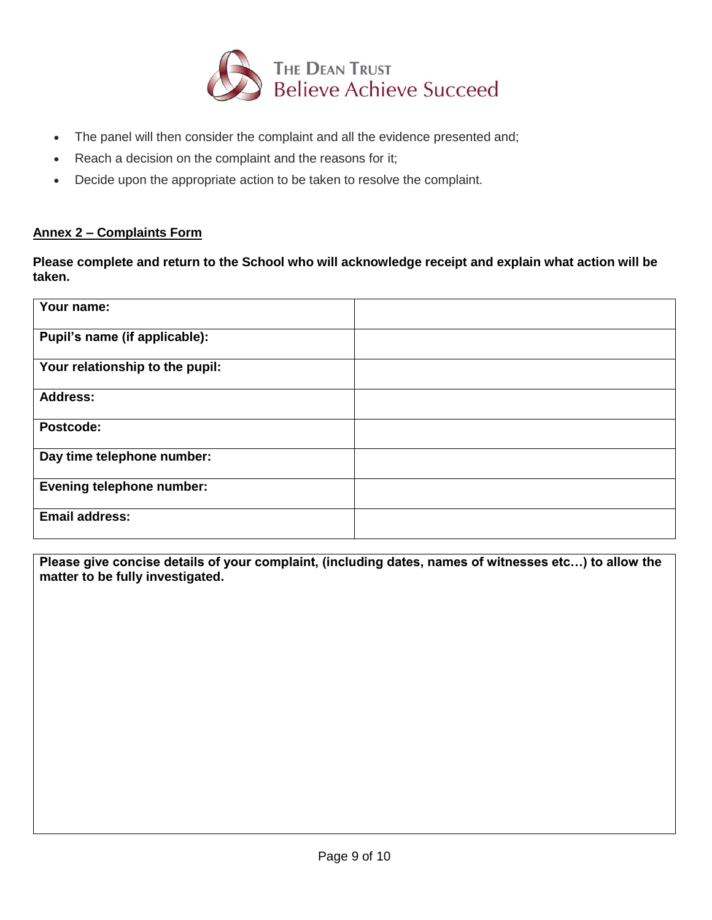

- The panel will then consider the complaint and all the evidence presented and;
- Reach a decision on the complaint and the reasons for it;
- Decide upon the appropriate action to be taken to resolve the complaint.

# **Annex 2 – Complaints Form**

**Please complete and return to the School who will acknowledge receipt and explain what action will be taken.**

| Your name:                       |  |
|----------------------------------|--|
| Pupil's name (if applicable):    |  |
| Your relationship to the pupil:  |  |
| <b>Address:</b>                  |  |
| Postcode:                        |  |
| Day time telephone number:       |  |
| <b>Evening telephone number:</b> |  |
| <b>Email address:</b>            |  |

**Please give concise details of your complaint, (including dates, names of witnesses etc…) to allow the matter to be fully investigated.**